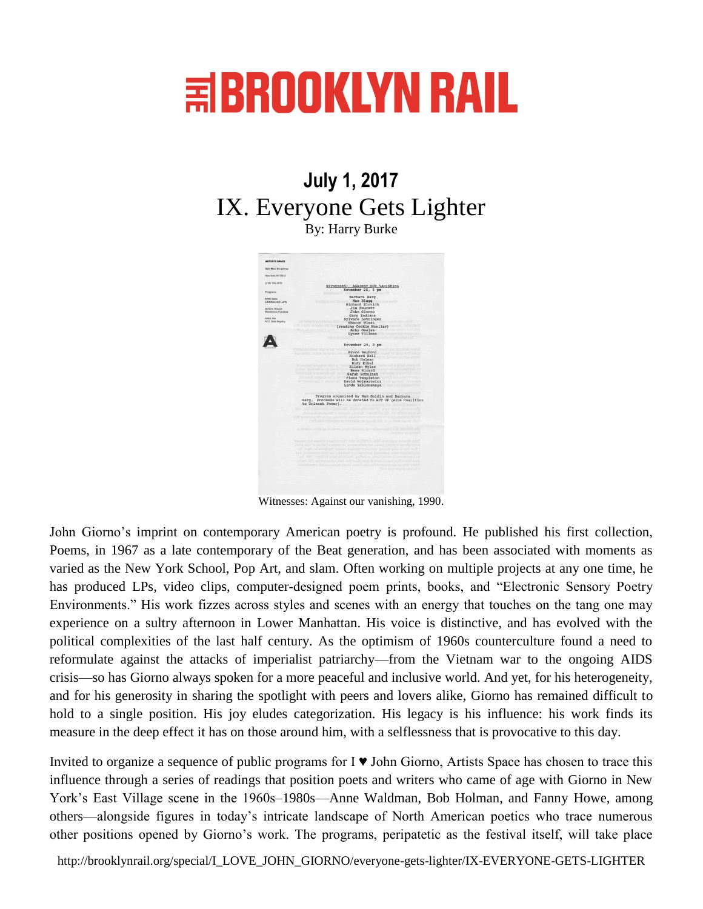## **WHORROOKLYN RAIL**

## **July 1, 2017** IX. Everyone Gets Lighter By: Harry Burke



Witnesses: Against our vanishing, 1990.

John Giorno's imprint on contemporary American poetry is profound. He published his first collection, Poems, in 1967 as a late contemporary of the Beat generation, and has been associated with moments as varied as the New York School, Pop Art, and slam. Often working on multiple projects at any one time, he has produced LPs, video clips, computer-designed poem prints, books, and "Electronic Sensory Poetry Environments." His work fizzes across styles and scenes with an energy that touches on the tang one may experience on a sultry afternoon in Lower Manhattan. His voice is distinctive, and has evolved with the political complexities of the last half century. As the optimism of 1960s counterculture found a need to reformulate against the attacks of imperialist patriarchy—from the Vietnam war to the ongoing AIDS crisis—so has Giorno always spoken for a more peaceful and inclusive world. And yet, for his heterogeneity, and for his generosity in sharing the spotlight with peers and lovers alike, Giorno has remained difficult to hold to a single position. His joy eludes categorization. His legacy is his influence: his work finds its measure in the deep effect it has on those around him, with a selflessness that is provocative to this day.

Invited to organize a sequence of public programs for I ♥ John Giorno, Artists Space has chosen to trace this influence through a series of readings that position poets and writers who came of age with Giorno in New York's East Village scene in the 1960s–1980s—Anne Waldman, Bob Holman, and Fanny Howe, among others—alongside figures in today's intricate landscape of North American poetics who trace numerous other positions opened by Giorno's work. The programs, peripatetic as the festival itself, will take place

http://brooklynrail.org/special/I\_LOVE\_JOHN\_GIORNO/everyone-gets-lighter/IX-EVERYONE-GETS-LIGHTER